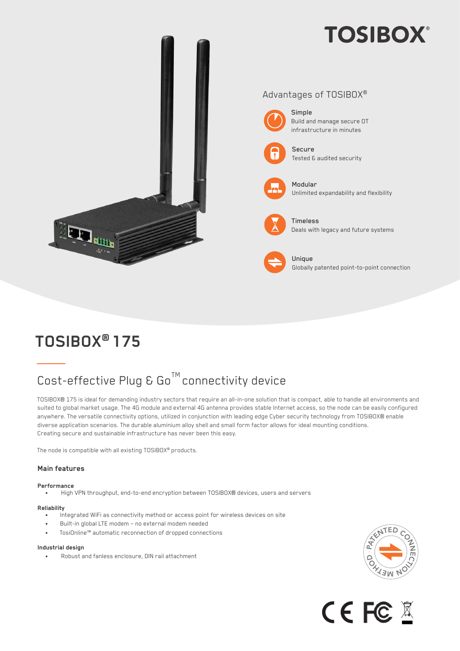# **TOSIBOX®**



## **TOSIBOX® 175**

### $Cost\text{-}effective\ \mathsf{Pu}$  &  $Go^{\text{TM}}$  connectivity device

TOSIBOX® 175 is ideal for demanding industry sectors that require an all-in-one solution that is compact, able to handle all environments and suited to global market usage. The 4G module and external 4G antenna provides stable Internet access, so the node can be easily configured anywhere. The versatile connectivity options, utilized in conjunction with leading edge Cyber security technology from TOSIBOX® enable diverse application scenarios. The durable aluminium alloy shell and small form factor allows for ideal mounting conditions. Creating secure and sustainable infrastructure has never been this easy.

The node is compatible with all existing TOSIBOX® products.

### **Main features**

#### **Performance**

• High VPN throughput, end-to-end encryption between TOSIBOX® devices, users and servers

- **Reliability** Integrated WiFi as connectivity method or access point for wireless devices on site
	- Built-in global LTE modem no external modem needed
	- TosiOnline™ automatic reconnection of dropped connections

#### **Industrial design**

• Robust and fanless enclosure, DIN rail attachment